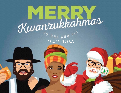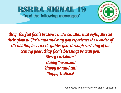# BSBRA SIGNAL 19 "and the following messages"



May You feel God' s presence in the candles, that sofly spread their glow at Christmas and may you experience the wonder of His abiding love, as He guides you, through each day of the coming year. May God' s Blessings be with you. Merry Christmas! **Happy Kwanzaa!** Happy hanukkah! Happy Festivus!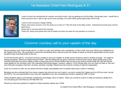# 1st Assistant Chief Felix Rodriguez # 31



I want to thank the membership for another successful month, calls are getting out and the bldg. is being kept clean. I would like to thank everyone who is able to sign up for these standbys, the chiefs office greatly appreciates all the help.

I want to wish everyone a Happy Holiday.

Please come down and join us for the Santa run on Dec 12<sup>th</sup> We will meet at the bldg. at 8am. Followed by the kids party and the Adult party.

Please sign in and also attend the trainings.

Thank you. Keep up the good work and as always our doors are open for any questions or concerns.

## Common courtesy call to your captain of the day

We are seeing a rash of last minute call in's, no show-no calls, and members who consistently run late to their duty tours without any notifications to the Captain of the Day. We would like to remind the membership that a call just to give the Captain a heads up would be appreciated as they would be able to help cover that portion of the tour.

For the last minute call in's, it would be common courtesy to give your Captain an ample amount of time to assist in finding coverage. You might be asking yourselves, "What is an ample amount if time?" We are asking that you give a minimum of SIX (6) hours notice. Most people know (in the working world) that they will be calling in within at least that amount of time whether they be sick or just need a mental health day. We feel that the same applies for the volunteer world. We understand that things happen, however, calling in 15-20 minutes after your tour does not help us. We can't even find paid coverage in that time, let alone volunteer coverage. Please have the common courtesy to help the organization.

As far as no show-no calls, we can advise that this Is totally unacceptable and it is spoken about way to often in meetings.

Members are also reminded that if you have a regular duty slot and you can't make it, you are to contact the Captain and try to fill your spot. (as per the SOP's). You are responsible for your duty slot, regardless if you are a probationary member, dispatcher, EMT or Driver.

These situations apply to all members, probationary and badge, call-in to interim. When you commit to a slot or to help out someone, please do it. You are giving your word that you will help them out.

Should you have any questions in regard's to these requests, please see a Chief.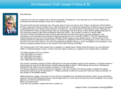## 2nd Assistant Chief Joseph Frisina # 32



#### Dear Members,

I hope all of you and your families had a safe and enjoyable Thanksgiving. A very big thank you to all the members who sacrificed time with their families to show up for Holiday Duty.

This past month has been extremely busy. We never seem to have one call at a time. There is usually two or three behind the first, especially during the daytime hours. With that being said, I'm asking the membership as whole to step up and assist in getting these jobs out. Please monitor Active911 and listen up. We mutual aided 18 jobs this past month. Although 24's are inevitable this number is astronomically high and unacceptable. We all must put in extra effort at getting these jobs out. The community expects a Bay Shore Ambulance when they call 911, let's provide it to them in a timely matter. The Field Training Committee has been working extremely hard this past month and is now fully operational. I am anticipating a very educational and positive precepting experience for our new EMT's/AEMT'S. The SOP regarding the clearing process was sent out to all members, although it doesn't apply to most, please review it. The board next to the vending machines is dedicated to Field Training. It contains an updated list of FTO's and Preceptors. If your name is not on this list it is for one of two reasons: You did not complete the preceptor training or you're not eligible to be a preceptor. If you have any questions please see me or any member of the Field Training Committee.

The Training board in the Youth Squad room is updated on a regular basis. Please check the board if you are looking for CME's or refresher/original courses. I will be more than happy to assist you in getting into an original class or refresher.

The CME schedule at HQ is as follows: 11/30 1900-2200 Core class 1 12/3 1900-2200 Core class 2 12/7 1800-2000 Core Class 3 12/10 1900-2200 Core Class 4

This month's mandatory training is OSHA. Although this is the last mandatory training for all members, I'm looking forward to seeing large turn outs at monthly trainings. Please make all efforts to attend. OSHA training will be held on Wednesday, December 9<sup>th</sup> @ 1600 hours and Sunday, December 13<sup>th.</sup> @ 1600 hours.

The Sexual Harassment make up training is in dispatch. If you did not attend the training, please complete the makeup training and submit it to me by December 31 st. Please remember to attach an excuse form with your make up training. It is also posted on the BSBRA website.

Medical Examiner update: I have been in touch with the Investigator from the Medical Examiner's office, we are still waiting approval from the Chief Medical Examiner. Unfortunately there is no time frame on when this will be completed. Once we get approval, I will let the membership know.

Keep up the great work!

If you have any questions, please feel free to contact me.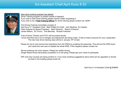# 3rd Assistant Chief April Kunz # 33



New driver training program has started.

Driver Training program is posted outside of dispatch. If you wish to start driver training please submit a letter requesting it. If you wish to be a **Field Training Officer** for driver training please contact me, ASAP.

The Driving Training Committee consists of April Kunz 3 rd Assistant Chief, Matt Phillips Ex-Chief, John Martinez Ex-Captain Peter Kolopsis Ex-Board President, Beth Haubrich Board of Director James Nelson, Ed Trivino, Tina Mercado, Russell Friedman

A list of Driver Trainers and FTO's will be posted shortly. I know that there are a lot of changes and adjustment are being made. I'd like to thank everyone for your cooperation The next new driver training class will be in January 10<sup>th</sup> at 5pm.

Please do not try and remove the restrictions from the IPADs by enabling the passcode. This will lock the IPAD down and cause the next user to disable the whole IPAD. If this happens please contact me.

We are entering into snow season. Please be careful driving. Ginger Bread House decorating competition is in full swing. Please get your crews to participate.

WiFi and new couches are being worked on. If you have anything suggestions about what can be upgraded or should be fixed in the building please email me

April Kunz 3 rd Assistant Chief @ BSBRA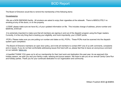### BOD Report

The Board of Directors would like to remind the membership of the following items:

#### Housekeeping:

-We are a NON SMOKING facility. All smokers are asked to enjoy their cigarettes at the sidewalk. There is ABSOLUTELY no smoking at any of the doors, or on the property.

-LOSAP, please make sure we have ALL of your updated information on file. This includes change of address, phone number and MARITAL STATUS!

-It is extremely important to make sure that all members are signing in and out of the dispatch program using the finger readers. Currently, it is the only thing that is tracking your eligibility, and more importantly, your LOSAP points.

-PCR's, Please make sure you are putting run number and dates on ALL PCR's. These PCRs must be scanned into the dispatch system upon completion.

-The Board of Directors maintains an open door policy, and invite all members to contact ANY one of us with comments, complaints and or issues. If you do not feel comfortable addressing issues first hand with us, please feel free to leave an anonymous comment on our website [bsbra.org.](http://bsbra.org/)

-A heartfelt THANK YOU goes out to all our membership for their hard work and dedication this past year. As we approach this holiday season, we wish you and your family a safe, relaxing and joyous season. We hope to see you at our annual Candy Cane Run and holiday parties. Thank you for your continued dedication to our organization and community.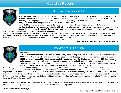# Captain's Reports



Hey Everyone, I was driving down 5th ave the other day and I noticed a sign outside the Baptist church which read, " A smooth sea never made a skillful mariner." I thought this was an interesting statement, any adversity you overcome makes you a stronger person. As this statement relates to EMS Easy calls never made a good provider. I'm not saying easy calls make you a bad provider, but the more difficult calls, the

MONDAY Dana Dequatro #51

ones that test your skills, sharpen your skills,make you think outside the box-those are the calls that make you a confident,not cocky, well-rounded provider. EMBRACE the challenging calls, they are a win-win situation. If you excel on a tough call, good for you. If you don't do as well as you wanted, do not become disheartened or beat yourself up about

it.Mistakes aren't necessarily bad, they are learning experiences.

You will make mistakes, that is how you learn.There is a huge safety net of highly trained, experienced individuals at BSBRA that will catch you and your mistakes before they become catastrophic. So get in there, up your game. If you have a question or need help with a skill-SPEAK UP ! There is not one member of this department who would hesitate to help you.

Stay Safe

Dana Dequatro Captain #51 \* [ddequatro@bsbra.org](mailto:ddequatro@bsbra.org?subject=)



### TUESDAY Kerri Paoletti #52

First and foremost,

I would like to thank the members who have been coming down to help cover on Tuesday's. There is no duty crew from 0000 - 0600. So if you are looking for a duty slot, please consider Tuesday overnight if your schedule permits. 0600 - 0800 there is only one paid BLS provider scheduled. I need a duty crew for this tour as well. 1200 - 1800 I do have a probationary member who will begin the precepting process at the end of December, after he passes his state exam. If you are a new crew chief and are looking to gain experience, you can build these duty slots and make them your own! 1800 - 0000 has a steady crew, but always love when other members come down to ride!

We have begun a new year within our department and it is off to a great start! We have a wonderful Chief's office that genuinely cares about what is best for us, the members. The Captain's are actively working together so that we can achieve the same goal of making this department the success it once was. We cannot do this without you!! I know it's frustrating when things are promised and not delivered, and I know many times there are feelings of being unappreciated. Please know that I can only speak for myself, but you are appreciated by the Line Officers more than words can say. Also, I can tell you that the Chief's and the Captain's really do appreciate your efforts. We see you. And we hear you. Keep up the great work!

Finally, I would like to wish a Merry Christmas, a Happy Hanukkah, and a Happy Kwanza, to you and your family, whatever you may celebrate this time of year! May you find joy and peace during this season, and may all your dreams come true!

Thank you for all you do always!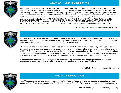### WEDNEDAY Charles Chapman #53



First, I would like to take a moment to thank everyone for embracing me with your confidence, and electing me to the position of Captain. I am very humbled, and honored to be trusted to be a officer of such a great organization with outstanding members with such amazing work ethic. I am looking forward to keeping the positive progression of BSBRA going and bringing the organization into a new chapter of its existence. I would like to bring back the moral that we had in the past. As they say break down the walls and build bridges, (dodgeball, rockband/game nights)...etc. I can't wait to see what we do this year! Thank you all for your service it does not go unnoticed. Furthermore IF ANYONE NEEDS DRIVER TRAINING, EMT B OR EMT P PRECEPTING COME DOWN WEDNESDAYS!!! :) we can do it all!! IF YOU WANT TO BE A DRIVER PLEASE PLEASE PLEASE WRITE A LETTER TO 33 stating so to get the ball rolling!! You guys rock and are the future of this organization just remember that!!

Charles Chapman Captain #53 \* [cchapman@bsbra.org](mailto:cchapman@bsbra.org?subject=)



Hey everyone, just wanna take this opportunity to thank everyone who came down on Thursdays this month to help out. Because of your support and the hard work of the duty crews assigned to Thursday's, we've enjoyed yet another month of no mutual aids, timely responses, and a high standard of patient care.

The overnight and evening continue to be well covered, but extra help will never be turned away. 6am - 6pm is covered by myself, a few awesome probies who are unfortunately not credentialed as either drivers or techs at this time, and the paid staff. One of my goals this year is to reduce the number of paid personnel on my day. I'm in the process of building a steady volunteer Thursday afternoon crew, but it will still take time. I appreciate all the people who have come down to ride during this very crucial and busy timeframe. I hope to continue to see this level of support going forward.

If anyone needs any help with anything at all, be it driver training, questions pertaining to patient care or general operations, or if you just want to talk about whatever, don't hesitate to reach out and contact me.

Alex Mullin Captain #54 \* [amullin@bsbra.org](mailto:amullin@bsbra.org?subject=)



### FRIDAY John Messing #55

*I would like to thank everyone that has helped me out on Fridays. Please everyone be mindful of things that are said during radio traffic as to the whole county is able to hear our radio traffic. Everyone please have a safe and fun holiday.*

*John Messing Captain #55 \* [amessin@bsbra.org](mailto:busarider75@clearwire.net?subject=)*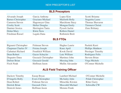### NEW PRECEPTOR'S LIST

### **BLS Preceptors**

Alvarado Joseph Garcia Anthony Lopez Kim Scotti Brianna Barnes Christopher Graziano Michael Maiforth Holly Stagnitta Laura Cameron Steven Hagemeyer Gina Marchione Stacy Thomas Shavaron Crosby Scott **Hefter Douglas** Mongan Emily Timmers Christi Dautner Jessica Herrington Tania Pysock Jackie Zenz Brittany Dolan Mary Klein Nora Rollero Daniel Friedman Russel Lagala Dana Rothstein Brett

### **BLS FTOs**

| Bignami Christopher       | <b>Fishman Steven</b>      | Hughes Laurie           | Paoletti Kerri           |
|---------------------------|----------------------------|-------------------------|--------------------------|
| <b>Chapman Charles IV</b> | Frisina Joseph             | Kunz April              | <b>Phillips Matthew</b>  |
| Ciabattari Richard        | Froehlich William          | <b>Kwok David</b>       | <b>Presinger Timothy</b> |
| Dean Robert               | Gazzo Schuyler             | Lutz William            | Rodriguez Felix          |
| Dequatro Dana             | <b>Guszack Christopher</b> | Martinez John           | <b>Stevens Brian</b>     |
| Dufour Brian              | <b>Guszack Gerald</b>      | Messing John            | Virga Michele            |
| <b>Fisch Noah</b>         | Hoffman Jason              | <b>Mullin Alexander</b> | <b>O'Conner Michelle</b> |

### **ALS Field Training Officer**

| Dackow Timothy       | Easop Bryan           | <b>Lambert Michael</b> | O'Conner Michelle        |
|----------------------|-----------------------|------------------------|--------------------------|
| D'Angelis Holly      | Evers Christopher     | McAuley John           | <b>Polak Christopher</b> |
| Dean Robert          | <b>Fishman Steven</b> | Minschke Kirsten       | <b>Ritter Garry</b>      |
| <b>Derrick Brian</b> | <b>Guszack Chris</b>  | Moccaldi Michael       | Schwalbe CW              |
| Deutcsh James        | Hoffman Jason         | Morano Frank           |                          |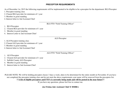#### **PRECEPTOR REQUIREMENTS**

As of December 1st, 2015 the following requirements will be implemented to be eligible to be a preceptor for the department: BLS Preceptor

- 1. Preceptor training class
- 2. Cleared BLS provider for minimum of 1 year
- 3. Member in good standing
- 4. Interest letter to 2nd Assistant Chief

\_\_\_\_\_\_\_\_\_\_\_\_\_\_\_\_\_\_\_\_\_\_\_\_\_\_\_\_\_\_\_\_\_\_\_\_\_\_\_\_\_\_\_ BLS FTO "Field Training Officer"

- 1. BLS Preceptor
- 2. Cleared BLS provider for minimum of 1 year
- 3. Member in good standing
- 4. Interest Letter to 2nd Assistant Chief

\_\_\_\_\_\_\_\_\_\_\_\_\_\_\_\_\_\_\_\_\_\_\_\_\_\_\_\_\_\_\_\_\_\_\_\_\_\_\_\_\_\_\_ ALS Preceptor

- 1. ALS Preceptor training class
- 2. Cleared ALS provider for minimum of 1 year
- 3. Member in good standing
- 4. Interest letter to 2nd Assistant Chief

\_\_\_\_\_\_\_\_\_\_\_\_\_\_\_\_\_\_\_\_\_\_\_\_\_\_\_\_\_\_\_\_\_\_\_\_\_\_\_\_\_\_\_ ALS FTO "Field Training Officer"

- 1. ALS Preceptor
- 2. Cleared ALS provider for minimum of 1 year
- 3. Suffolk County ALS Preceptor
- 4. Member in good standing
- 5. Interest letter to 2nd Assistant Chief

PLEASE NOTE: We will be holding preceptor classes 3 days a week, dates to be determined for the entire month on November. If you have not completed the preceptor training class and do not meet the above requirements your name will be removed from the preceptors list.

\_\_\_\_\_\_\_\_\_\_\_\_\_\_\_\_\_\_\_\_\_\_\_\_\_\_\_\_\_\_\_\_\_\_\_\_\_\_\_\_\_\_\_

#### **\*\*A list of eligible preceptors and FTO's is currently being made and will be posted in the near future\*\***

If you have any questions, please feel free to contact me.

**[Joe Frisina](mailto:jfrisina@bsbra.org) 2nd. Assistant Chief @ BSBRA**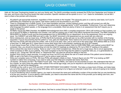# QA/QI COMMITTEE

Hello all. We hope Thanksgiving treated you and your family well. The QA/QI committee recently reviewed the PCRs from September and October of this year, and found a few recurring issues that need correction. Specific members will be spoken to on a 1 on 1 basis for remediation, but we felt it wise to share a few pointers with everyone.

- All patient's get appropriate treatment, regardless of their proximity to the hospital. This obviously goes on a case by case basis, but if you're withholding any treatment for any reason, that reason needs to be documented on your PCR.
- There is a language line in Suffolk County. If you need translation services, contact medical control, and they will connect you with the appropriate translator. A narrative of "Unable to asses patient due to language barrier" is NOT acceptable. Furthermore, if you can't determine what language the patient speaks, or the language line is unavailable, there are plenty of items in an assessment that don't require you to speak to the person.
- All RMAs require the RMA Checklist, the BSBRA Acknowledgment form AND a complete assessment. We're still working on final numbers, but out of around 50 RMAs in September and October, over half are missing one or both of the afford mentioned documents. The RMA Checklist is REQUIRED by Suffolk County and the Acknowledgment form is REQUIRED by our department. As for the assessment, this is an ongoing issue. You CANNOT just write RMA and call it a day. You MUST document a full assessment as you would with any other job.
- We're noticing tons, and we mean tons, of PCRs that fit ALS protocols, yet the call was run by a BLS provider with no mention of ALS being requested. If you're documenting that the patient is "cool, pale and diaphoretic" there needs to be some documentation about requesting ALS. We have two PCRs with that exact line written, with no ALS to be seen. Also, just so we're all on the same page, NYS defines AMS as a GCS of less than 15. AMS gets ALS, unless there is some other factor that is documented, explaining why ALS isn't needed.
- A much lesser known fact, is that if you have a symptomatic CO exposure patient, that is a HIGH RISK RMA, and medical control MUST be contacted. Also, you should be documenting not only the initial CO readings as obtained by FD, but a RAD 57 reading on the patient.
- We've noticed this new trend of writing, "None to voice" in the Chief Complaint box. While this isn't a huge issue, this is not an appropriate Chief Complaint on 99% of your patients. The Chief Complaint is the first thing that the patient or bystander tells you, or a generalization as made by you. Things like "She fell down" or "Abdominal Pain" are what we should be seeing in that box.
- Another minor thing is nasal cannulas, It is stupid we know, but NYS only allows the use of a nasal cannula if the patient cannot tolerate a NRB, so get in the habit of documenting such if you're using a nasal cannula.
- Write your complete name on PCRs. We have PCRs with people's initials on them. Trying to figure out who "PD" is by looking up EMT numbers is rather time consuming. If you want to write your first initial and complete last name, that's fine.
- Lift Assists. Lift Assists are NOT "No Patient Found" jobs. They are RMAs, and need to be documented as such. We understand that that can be a hassle, as many times the patient falls outside of the normal age range, and you're required to call medical control, but this is for your protection, as well as the departments.
- PLEASE put the run# on your PCR and ANY OTHER PERTINENT DOCUMENT. PLEASE. This helps us keep track of things, and helps keep you out of the doghouse. If we have loose EKG strips, we're not going to try to figure out what job it came from, and you're going to be marked as having incomplete documentation.
- If you're transferring care to another agency, you need to document the name and certification number of the provider that you are transferring to at the very minimum. If you're taking a care transfer, you need to document the name and #'s of the provider you're taking care from, and anything that they have done for the patient.

#### **Missing PCR's**

#### Run Number: (153728 Dequatro/Simone), (153729 Unknown Crew), (153792 Ortiz/Wojik)

Any questions about any of the above, feel free to contact Schuyler Gazzo @ 631-522-3887, or any of the Chiefs.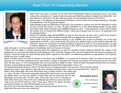# Noah Fisch: An Outstanding Member



Noah Fisch has been a member at the Bay Shore Brightwaters Rescue Ambulance since June 2002 making him a member for 13 years. Noah has previously held the position of Captain from 2004-2007, and then again from 2010-2012. He also held the position of 2nd Assistant Chief from 2012-2013.

Noah is also a Life Member at Stony Brook Ambulance, and he works at Exchange Ambulance, Setauket Fire Department, and Stony Brook Hospital.

Noah decided to get into EMS when he got into a car accident on campus and the first responder to show up was a friend from school. He says, "It really interested me, it was great seeing people my age doing such great stuff." Noah decided to join BSBRA because he says, "I was looking for a place with a higher call volume, and for a place with different things. I also knew 2 people here so I put in my application and the rest was history."

Noah's first thoughts while joining BSBRA he says he was nervous. He also says, "I didn't know anyone, so is this really for me? Will I be able to handle this busy department and all this stuff?"

Advice Noah would give to someone wanting to join BSBRA now is that it's probably one of the best organizations out there, is like a huge family and everyone is willing to help our one another especially new members." Advice he would give to someone wanting to become an EMT is "it's a great decision, you get to make a difference in someone's life. But talk to other EMT's and ask about their experiences." He also

adds, although it is not the easiest job, it's definitely worth it at the end of the day."

If Noah had the ability to change anything about the department he says he wouldn't change anything because the people in the department do a good job with teaching Youth Squad and new members. He also adds, "We are a tight family and everyone supports one another." However, things he would change about EMS in general is how EMS is so different everywhere you go whether it's in Nassau, Suffolk and even in other states.

Some of Noah's goals he wants to achieve in his future here at BSBRA is he would love to become Chief. He wants to become Chief because one of his best experiences here were being in charge of education and training and seeing how things are ran from the other side. He also says, it is nice having people look up to you and be a leader to them." Some of Noah's proudest moments here are being a member, winning National Agency Of The Year, State and County Best Organization of the U. S.

His favorite thing about going on calls is "the fact that you're helping someone you've never met and there's always something to learn." Also, going on calls with new members and being able to help them and show them." Some of

Noah's most memorable calls were when there was a cardiac arrests a few weeks ago in a store. He says, "there were bystanders doing CPR until we took over and shocked the patient twice, we took the patient to South Side and we found out that he was discharged and doing well." He also adds, "there also was a time in February of 2003 when there was a House Fire and a little girl got pulled out, sadly she didn't make it but we did the best we could." Noah says, "there isn't always the best outcomes but there are some that will always stick out to you."

But at the end of the day Noah says, "never stop learning, always strive to be better then the person you were yesterday."

#### **Samantha Jones**

The youth Squad

newsletter reporter

Signal19



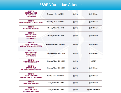# BSBRA December Calendar

| 12/03/15<br><b>CME TRAINING</b><br><b>Core Class 2</b><br><b>Jim Guilland</b> | Thursday / Dec 3rd / 2015   | @: HQ | @ 1900 hours      |
|-------------------------------------------------------------------------------|-----------------------------|-------|-------------------|
| 12/05/15<br>YOUTH SQUAD COMPETITION                                           | Saturday / Dec. 5th / 2015  | @: HQ | @ 1700 hours      |
| 12/07/15<br><b>GENERAL MEETING</b>                                            | Monday / Dec. 7th / 2015    | @: HQ | @ 2000 hours      |
| 12/07/15<br><b>CME TRAINING</b><br><b>Core Class 3</b><br><b>Jim Guilland</b> | Monday / Dec. 7th / 2015    | @: HQ | @ 1900 hours      |
| 12/09/15<br><b>OSHA TRAINING</b><br><b>MANDATORY ALL MEMBERS</b>              | Wednesday / Dec. 9th / 2015 | @: HQ | @ 1930 hours      |
| 12/10/15<br><b>CME TRAINING</b><br><b>Core Class 4</b><br><b>Jim Guilland</b> | Thursday / Dec. 10th / 2015 | @: HQ | @ 1900 hours      |
| 12/12/15<br><b>CHISTMASS PARTY</b>                                            | Saturday / Dec. 12th / 2015 | @: HQ | @TBA              |
| 12/12/15<br><b>SANTAS RUN</b><br>All members are welcome                      | Saturday / Dec. 12th / 2015 | @: HQ | @ 0800 hours      |
| 12/13/15<br><b>OSHA TRAINING</b><br><b>MANDATORY ALL MEMBERS</b>              | Sunday / Dec. 13th / 2015   | @: HQ | @ 1600 hours      |
| 12/18/15<br><b>OFFICERS MEETING</b>                                           | Friday / Dec. 18th / 2015   | @: HQ | @ 1930 hours      |
| 12/25/15<br><b>HOLIDAY TOUR</b><br><b>MERRY CHRISTMAS</b>                     | Friday / Dec. 25th / 2015   | @: HQ | @ 0000-2400 hours |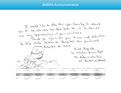### BSBRA Announcements

I would like to telse this opportunity to thank you for the adorable knitted hats. We at Southeide you be the advance into the creations. ey appreciative or your creation.<br>Thank you again for your time and dedication to telp make Southside Huspital the preferred huspital for eare. Kind Rigards, The Volunteer Services Dept TL Administration at Southlide Hospital